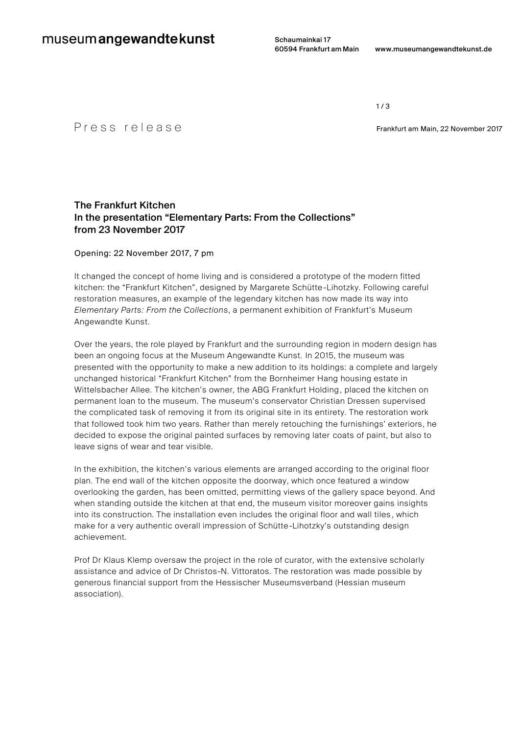Schaumainkai 17

 $1/3$ 

P  $r \in S S$   $r \in I e a s e$  Frankfurt am Main, 22 November 2017

# The Frankfurt Kitchen In the presentation "Elementary Parts: From the Collections" from 23 November 2017

Opening: 22 November 2017, 7 pm

It changed the concept of home living and is considered a prototype of the modern fitted kitchen: the "Frankfurt Kitchen", designed by Margarete Schütte -Lihotzky. Following careful restoration measures, an example of the legendary kitchen has now made its way into *Elementary Parts: From the Collections*, a permanent exhibition of Frankfurt's Museum Angewandte Kunst.

Over the years, the role played by Frankfurt and the surrounding region in modern design has been an ongoing focus at the Museum Angewandte Kunst. In 2015, the museum was presented with the opportunity to make a new addition to its holdings: a complete and largely unchanged historical "Frankfurt Kitchen" from the Bornheimer Hang housing estate in Wittelsbacher Allee. The kitchen's owner, the ABG Frankfurt Holding, placed the kitchen on permanent loan to the museum. The museum's conservator Christian Dressen supervised the complicated task of removing it from its original site in its entirety. The restoration work that followed took him two years. Rather than merely retouching the furnishings' exteriors, he decided to expose the original painted surfaces by removing later coats of paint, but also to leave signs of wear and tear visible.

In the exhibition, the kitchen's various elements are arranged according to the original floor plan. The end wall of the kitchen opposite the doorway, which once featured a window overlooking the garden, has been omitted, permitting views of the gallery space beyond. And when standing outside the kitchen at that end, the museum visitor moreover gains insights into its construction. The installation even includes the original floor and wall tiles , which make for a very authentic overall impression of Schütte-Lihotzky's outstanding design achievement.

Prof Dr Klaus Klemp oversaw the project in the role of curator, with the extensive scholarly assistance and advice of Dr Christos-N. Vittoratos. The restoration was made possible by generous financial support from the Hessischer Museumsverband (Hessian museum association).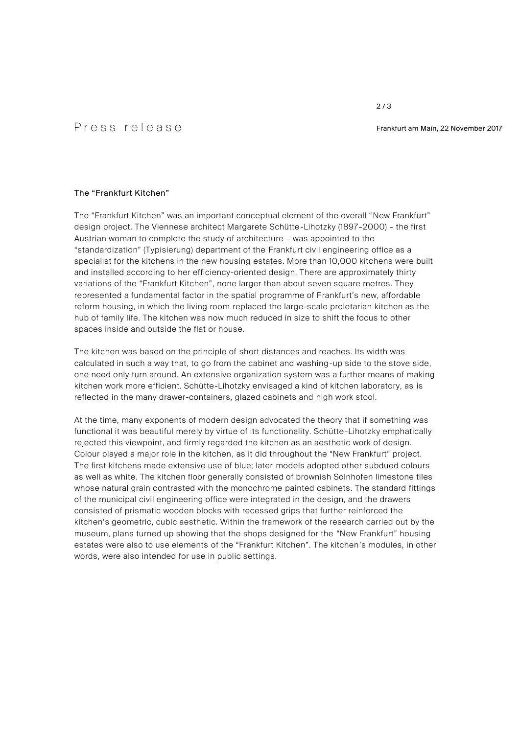2 / 3

# P r e s s r e l e a s e Frankfurt am Main, <sup>22</sup> November <sup>2017</sup>

# The "Frankfurt Kitchen"

The "Frankfurt Kitchen" was an important conceptual element of the overall "New Frankfurt" design project. The Viennese architect Margarete Schütte-Lihotzky (1897–2000) – the first Austrian woman to complete the study of architecture – was appointed to the "standardization" (Typisierung) department of the Frankfurt civil engineering office as a specialist for the kitchens in the new housing estates. More than 10,000 kitchens were built and installed according to her efficiency-oriented design. There are approximately thirty variations of the "Frankfurt Kitchen", none larger than about seven square metres. They represented a fundamental factor in the spatial programme of Frankfurt's new, affordable reform housing, in which the living room replaced the large-scale proletarian kitchen as the hub of family life. The kitchen was now much reduced in size to shift the focus to other spaces inside and outside the flat or house.

The kitchen was based on the principle of short distances and reaches. Its width was calculated in such a way that, to go from the cabinet and washing-up side to the stove side, one need only turn around. An extensive organization system was a further means of making kitchen work more efficient. Schütte-Lihotzky envisaged a kind of kitchen laboratory, as is reflected in the many drawer-containers, glazed cabinets and high work stool.

At the time, many exponents of modern design advocated the theory that if something was functional it was beautiful merely by virtue of its functionality. Schütte -Lihotzky emphatically rejected this viewpoint, and firmly regarded the kitchen as an aesthetic work of design. Colour played a major role in the kitchen, as it did throughout the "New Frankfurt" project. The first kitchens made extensive use of blue; later models adopted other subdued colours as well as white. The kitchen floor generally consisted of brownish Solnhofen limestone tiles whose natural grain contrasted with the monochrome painted cabinets. The standard fittings of the municipal civil engineering office were integrated in the design, and the drawers consisted of prismatic wooden blocks with recessed grips that further reinforced the kitchen's geometric, cubic aesthetic. Within the framework of the research carried out by the museum, plans turned up showing that the shops designed for the "New Frankfurt" housing estates were also to use elements of the "Frankfurt Kitchen". The kitchen's modules, in other words, were also intended for use in public settings.